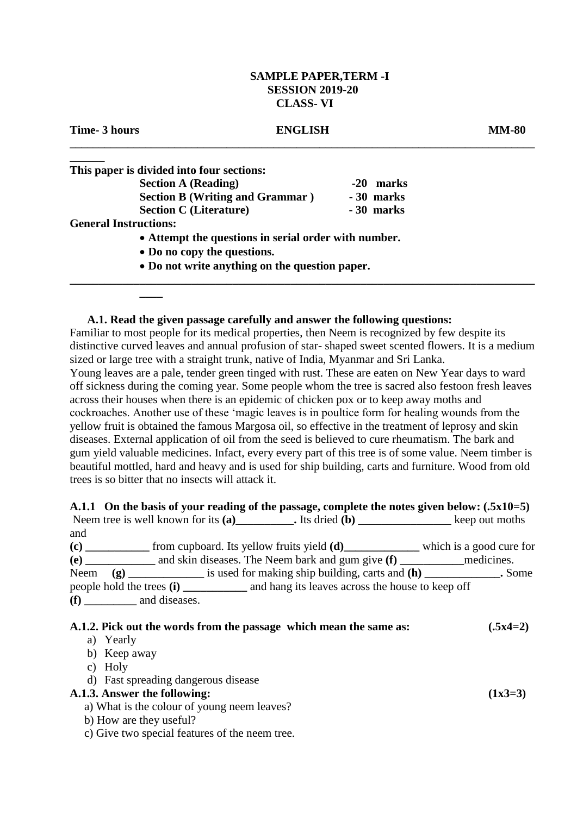### **SAMPLE PAPER,TERM -I SESSION 2019-20 CLASS- VI**

#### **Time- 3 hours ENGLISH MM-80**

# **\_\_\_\_\_\_\_\_\_\_\_\_\_\_\_\_\_\_\_\_\_\_\_\_\_\_\_\_\_\_\_\_\_\_\_\_\_\_\_\_\_\_\_\_\_\_\_\_\_\_\_\_\_\_\_\_\_\_\_\_\_\_\_\_\_\_\_\_\_\_\_\_\_\_\_\_\_\_\_\_**

| This paper is divided into four sections: |                                                      |  |  |
|-------------------------------------------|------------------------------------------------------|--|--|
| <b>Section A (Reading)</b>                | $-20$<br>marks                                       |  |  |
| <b>Section B (Writing and Grammar)</b>    | - 30 marks                                           |  |  |
| <b>Section C</b> (Literature)             | -30 marks                                            |  |  |
| <b>General Instructions:</b>              |                                                      |  |  |
|                                           | • Attempt the questions in serial order with number. |  |  |

**Do no copy the questions.**

**\_\_\_\_**

**Do not write anything on the question paper.** 

#### **A.1. Read the given passage carefully and answer the following questions:**

Familiar to most people for its medical properties, then Neem is recognized by few despite its distinctive curved leaves and annual profusion of star- shaped sweet scented flowers. It is a medium sized or large tree with a straight trunk, native of India, Myanmar and Sri Lanka. Young leaves are a pale, tender green tinged with rust. These are eaten on New Year days to ward off sickness during the coming year. Some people whom the tree is sacred also festoon fresh leaves across their houses when there is an epidemic of chicken pox or to keep away moths and cockroaches. Another use of these 'magic leaves is in poultice form for healing wounds from the yellow fruit is obtained the famous Margosa oil, so effective in the treatment of leprosy and skin diseases. External application of oil from the seed is believed to cure rheumatism. The bark and gum yield valuable medicines. Infact, every every part of this tree is of some value. Neem timber is beautiful mottled, hard and heavy and is used for ship building, carts and furniture. Wood from old trees is so bitter that no insects will attack it.

**\_\_\_\_\_\_\_\_\_\_\_\_\_\_\_\_\_\_\_\_\_\_\_\_\_\_\_\_\_\_\_\_\_\_\_\_\_\_\_\_\_\_\_\_\_\_\_\_\_\_\_\_\_\_\_\_\_\_\_\_\_\_\_\_\_\_\_\_\_\_\_\_\_\_\_\_\_\_\_\_**

#### **A.1.1 On the basis of your reading of the passage, complete the notes given below: (.5x10=5)**<br>Neem tree is well known for its (a) tree is well known for its (a)

|      | Neem tree is well known for its (a) $\qquad \qquad$ Its dried (b) $\qquad \qquad$ Keep out moths |                          |
|------|--------------------------------------------------------------------------------------------------|--------------------------|
| and  |                                                                                                  |                          |
| (c)  | from cupboard. Its yellow fruits yield ( <b>d</b> )                                              | which is a good cure for |
| (e)  | and skin diseases. The Neem bark and gum give (f) medicines.                                     |                          |
| Neem | $(g)$ is used for making ship building, carts and $(h)$ Some                                     |                          |
|      |                                                                                                  |                          |
|      | $(f)$ and diseases.                                                                              |                          |
|      |                                                                                                  |                          |

### **A.1.2. Pick out the words from the passage which mean the same as: (.5x4=2)**

#### a) Yearly

- b) Keep away
- c) Holy
- d) Fast spreading dangerous disease

# **A.1.3. Answer the following: (1x3=3)**

- a) What is the colour of young neem leaves?
- b) How are they useful?
- c) Give two special features of the neem tree.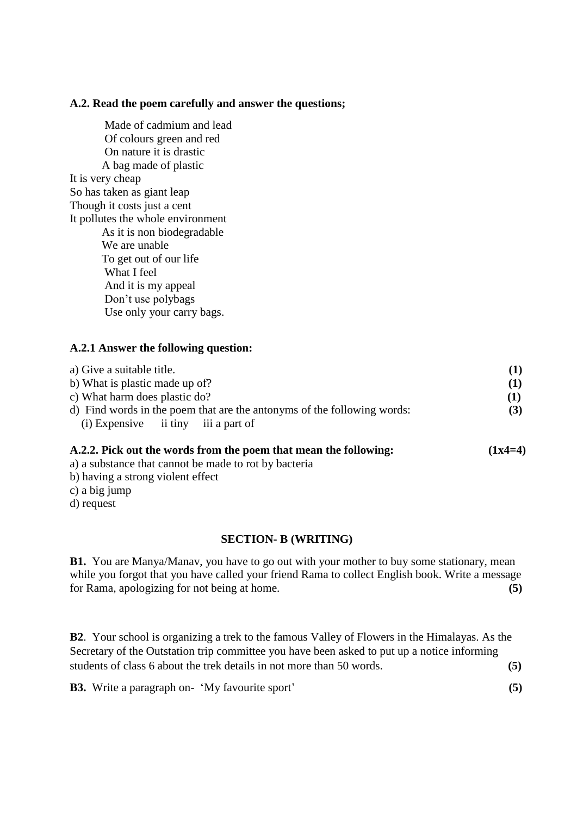### **A.2. Read the poem carefully and answer the questions;**

Made of cadmium and lead Of colours green and red On nature it is drastic A bag made of plastic It is very cheap So has taken as giant leap Though it costs just a cent It pollutes the whole environment As it is non biodegradable We are unable To get out of our life What I feel And it is my appeal Don't use polybags Use only your carry bags.

# **A.2.1 Answer the following question:**

| a) Give a suitable title.                                               | (1) |
|-------------------------------------------------------------------------|-----|
| b) What is plastic made up of?                                          | (1) |
| c) What harm does plastic do?                                           | (1) |
| d) Find words in the poem that are the antonyms of the following words: |     |
| $(i)$ Expensive ii tiny iii a part of                                   |     |
|                                                                         |     |

### **A.2.2. Pick out the words from the poem that mean the following: (1x4=4)**

- a) a substance that cannot be made to rot by bacteria
- b) having a strong violent effect
- c) a big jump
- d) request

# **SECTION- B (WRITING)**

**B1.** You are Manya/Manav, you have to go out with your mother to buy some stationary, mean while you forgot that you have called your friend Rama to collect English book. Write a message for Rama, apologizing for not being at home. **(5)**

**B2**. Your school is organizing a trek to the famous Valley of Flowers in the Himalayas. As the Secretary of the Outstation trip committee you have been asked to put up a notice informing students of class 6 about the trek details in not more than 50 words. **(5)**

**B3.** Write a paragraph on- 'My favourite sport' **(5)**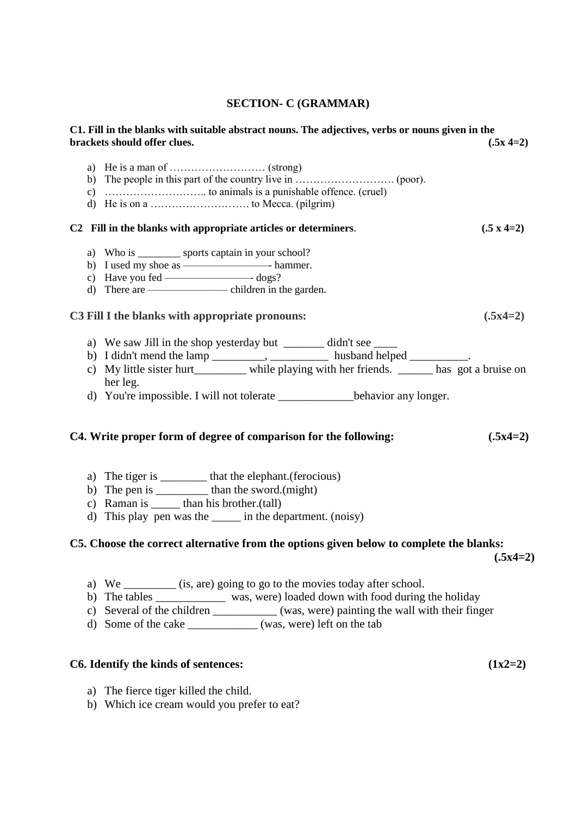## **SECTION- C (GRAMMAR)**

| C1. Fill in the blanks with suitable abstract nouns. The adjectives, verbs or nouns given in the<br>brackets should offer clues.                                                                                                                                                                                                                         | $(.5x 4=2)$       |
|----------------------------------------------------------------------------------------------------------------------------------------------------------------------------------------------------------------------------------------------------------------------------------------------------------------------------------------------------------|-------------------|
|                                                                                                                                                                                                                                                                                                                                                          |                   |
| C2 Fill in the blanks with appropriate articles or determiners.                                                                                                                                                                                                                                                                                          | $(.5 \times 4=2)$ |
| a) Who is __________ sports captain in your school?                                                                                                                                                                                                                                                                                                      |                   |
| C3 Fill I the blanks with appropriate pronouns:                                                                                                                                                                                                                                                                                                          | $(.5x4=2)$        |
| a) We saw Jill in the shop yesterday but ________ didn't see _______<br>b) I didn't mend the lamp ___________, _____________ husband helped ___________.<br>c) My little sister hurt__________ while playing with her friends. ______ has got a bruise on<br>her leg.<br>d) You're impossible. I will not tolerate _________________behavior any longer. |                   |
| C4. Write proper form of degree of comparison for the following:                                                                                                                                                                                                                                                                                         | $(.5x4=2)$        |
| a) The tiger is __________ that the elephant. (ferocious)<br>b) The pen is ______________ than the sword.(might)<br>c) Raman is _______ than his brother.(tall)<br>d) This play pen was the _______ in the department. (noisy)                                                                                                                           |                   |
| C5. Choose the correct alternative from the options given below to complete the blanks:                                                                                                                                                                                                                                                                  |                   |

 **(.5x4=2)**

- a) We \_\_\_\_\_\_\_\_\_ (is, are) going to go to the movies today after school.
- b) The tables \_\_\_\_\_\_\_\_\_\_\_\_ was, were) loaded down with food during the holiday
- c) Several of the children \_\_\_\_\_\_\_\_\_\_\_ (was, were) painting the wall with their finger
- d) Some of the cake \_\_\_\_\_\_\_\_\_\_\_\_ (was, were) left on the tab

# **C6. Identify the kinds of sentences: (1x2=2)**

- a) The fierce tiger killed the child.
- b) Which ice cream would you prefer to eat?